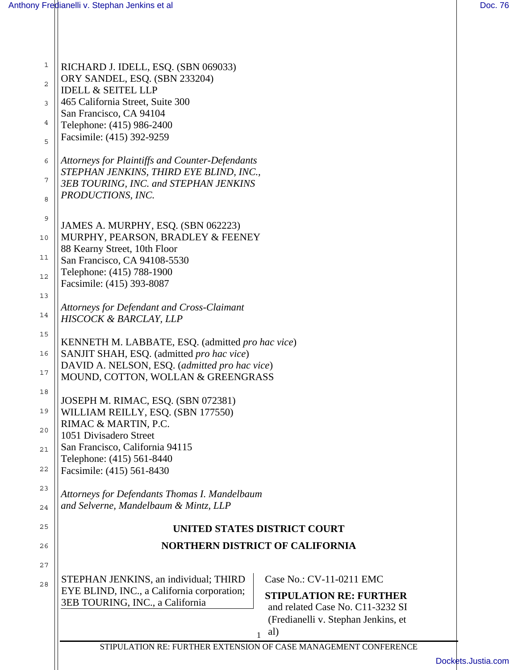$\mathbb{I}$ 

| 1  | RICHARD J. IDELL, ESQ. (SBN 069033)                                                                             |  |  |  |
|----|-----------------------------------------------------------------------------------------------------------------|--|--|--|
| 2  | ORY SANDEL, ESQ. (SBN 233204)                                                                                   |  |  |  |
| 3  | <b>IDELL &amp; SEITEL LLP</b><br>465 California Street, Suite 300                                               |  |  |  |
|    | San Francisco, CA 94104                                                                                         |  |  |  |
| 4  | Telephone: (415) 986-2400                                                                                       |  |  |  |
| 5  | Facsimile: (415) 392-9259                                                                                       |  |  |  |
| 6  | Attorneys for Plaintiffs and Counter-Defendants                                                                 |  |  |  |
| 7  | STEPHAN JENKINS, THIRD EYE BLIND, INC.,                                                                         |  |  |  |
|    | 3EB TOURING, INC. and STEPHAN JENKINS<br>PRODUCTIONS, INC.                                                      |  |  |  |
| 8  |                                                                                                                 |  |  |  |
| 9  | JAMES A. MURPHY, ESQ. (SBN 062223)                                                                              |  |  |  |
| 10 | MURPHY, PEARSON, BRADLEY & FEENEY                                                                               |  |  |  |
| 11 | 88 Kearny Street, 10th Floor<br>San Francisco, CA 94108-5530                                                    |  |  |  |
| 12 | Telephone: (415) 788-1900                                                                                       |  |  |  |
|    | Facsimile: (415) 393-8087                                                                                       |  |  |  |
| 13 | Attorneys for Defendant and Cross-Claimant                                                                      |  |  |  |
| 14 | HISCOCK & BARCLAY, LLP                                                                                          |  |  |  |
| 15 |                                                                                                                 |  |  |  |
| 16 | KENNETH M. LABBATE, ESQ. (admitted pro hac vice)<br>SANJIT SHAH, ESQ. (admitted pro hac vice)                   |  |  |  |
|    | DAVID A. NELSON, ESQ. (admitted pro hac vice)                                                                   |  |  |  |
| 17 | MOUND, COTTON, WOLLAN & GREENGRASS                                                                              |  |  |  |
| 18 | JOSEPH M. RIMAC, ESQ. (SBN 072381)                                                                              |  |  |  |
| 19 | WILLIAM REILLY, ESQ. (SBN 177550)                                                                               |  |  |  |
| 20 | RIMAC & MARTIN, P.C.                                                                                            |  |  |  |
|    | 1051 Divisadero Street<br>San Francisco, California 94115                                                       |  |  |  |
| 21 | Telephone: (415) 561-8440                                                                                       |  |  |  |
| 22 | Facsimile: (415) 561-8430                                                                                       |  |  |  |
| 23 | Attorneys for Defendants Thomas I. Mandelbaum                                                                   |  |  |  |
| 24 | and Selverne, Mandelbaum & Mintz, LLP                                                                           |  |  |  |
| 25 |                                                                                                                 |  |  |  |
|    | UNITED STATES DISTRICT COURT                                                                                    |  |  |  |
| 26 | <b>NORTHERN DISTRICT OF CALIFORNIA</b>                                                                          |  |  |  |
| 27 |                                                                                                                 |  |  |  |
| 28 | Case No.: CV-11-0211 EMC<br>STEPHAN JENKINS, an individual; THIRD<br>EYE BLIND, INC., a California corporation; |  |  |  |
|    | <b>STIPULATION RE: FURTHER</b><br>3EB TOURING, INC., a California                                               |  |  |  |
|    | and related Case No. C11-3232 SI                                                                                |  |  |  |
|    | (Fredianelli v. Stephan Jenkins, et<br>al)                                                                      |  |  |  |
|    | 1<br>STIPULATION RE: FURTHER EXTENSION OF CASE MANAGEMENT CONFERENCE                                            |  |  |  |
|    |                                                                                                                 |  |  |  |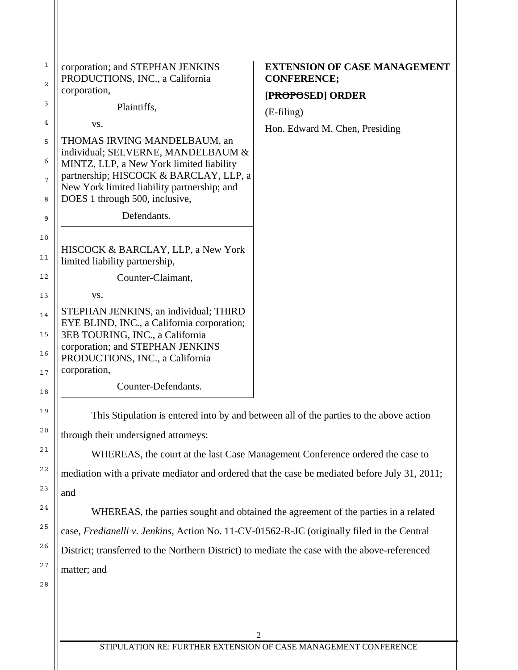| 1              | corporation; and STEPHAN JENKINS<br>PRODUCTIONS, INC., a California                                                     | <b>EXTENSION OF CASE MANAGEMENT</b><br><b>CONFERENCE;</b>                          |  |  |
|----------------|-------------------------------------------------------------------------------------------------------------------------|------------------------------------------------------------------------------------|--|--|
| 2              | corporation,                                                                                                            | [PROPOSED] ORDER                                                                   |  |  |
| 3              | Plaintiffs,                                                                                                             | $(E-filing)$                                                                       |  |  |
| 4              | VS.                                                                                                                     | Hon. Edward M. Chen, Presiding                                                     |  |  |
| 5<br>6         | THOMAS IRVING MANDELBAUM, an<br>individual; SELVERNE, MANDELBAUM &<br>MINTZ, LLP, a New York limited liability          |                                                                                    |  |  |
| 7<br>8         | partnership; HISCOCK & BARCLAY, LLP, a<br>New York limited liability partnership; and<br>DOES 1 through 500, inclusive, |                                                                                    |  |  |
| 9              | Defendants.                                                                                                             |                                                                                    |  |  |
| 10             |                                                                                                                         |                                                                                    |  |  |
| 11             | HISCOCK & BARCLAY, LLP, a New York<br>limited liability partnership,                                                    |                                                                                    |  |  |
| 12             | Counter-Claimant,                                                                                                       |                                                                                    |  |  |
| 13             | VS.                                                                                                                     |                                                                                    |  |  |
| 14             | STEPHAN JENKINS, an individual; THIRD<br>EYE BLIND, INC., a California corporation;                                     |                                                                                    |  |  |
| 15<br>16<br>17 | 3EB TOURING, INC., a California<br>corporation; and STEPHAN JENKINS<br>PRODUCTIONS, INC., a California<br>corporation,  |                                                                                    |  |  |
| 18             | Counter-Defendants.                                                                                                     |                                                                                    |  |  |
| 19             | This Stipulation is entered into by and between all of the parties to the above action                                  |                                                                                    |  |  |
| 20             | through their undersigned attorneys:                                                                                    |                                                                                    |  |  |
| 21             | WHEREAS, the court at the last Case Management Conference ordered the case to                                           |                                                                                    |  |  |
| 22             | mediation with a private mediator and ordered that the case be mediated before July 31, 2011;                           |                                                                                    |  |  |
| 23             | and                                                                                                                     |                                                                                    |  |  |
| 24             |                                                                                                                         | WHEREAS, the parties sought and obtained the agreement of the parties in a related |  |  |
| 25             | case, Fredianelli v. Jenkins, Action No. 11-CV-01562-R-JC (originally filed in the Central                              |                                                                                    |  |  |
| 26             | District; transferred to the Northern District) to mediate the case with the above-referenced                           |                                                                                    |  |  |
| 27             | matter; and                                                                                                             |                                                                                    |  |  |
| 28             |                                                                                                                         |                                                                                    |  |  |
|                |                                                                                                                         |                                                                                    |  |  |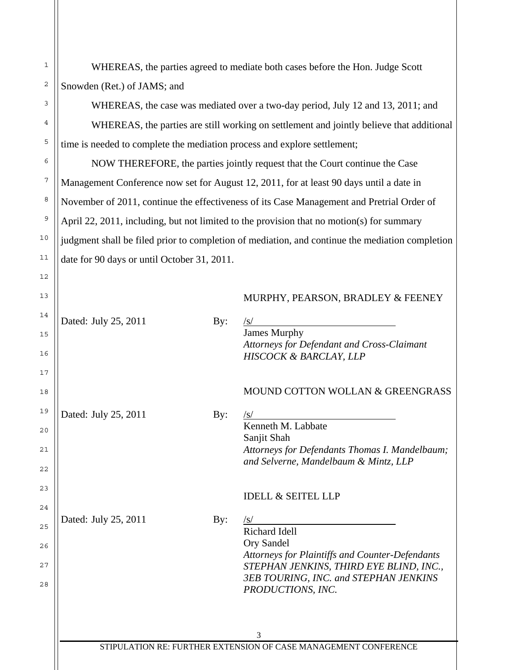WHEREAS, the parties agreed to mediate both cases before the Hon. Judge Scott Snowden (Ret.) of JAMS; and

WHEREAS, the case was mediated over a two-day period, July 12 and 13, 2011; and WHEREAS, the parties are still working on settlement and jointly believe that additional time is needed to complete the mediation process and explore settlement;

NOW THEREFORE, the parties jointly request that the Court continue the Case Management Conference now set for August 12, 2011, for at least 90 days until a date in November of 2011, continue the effectiveness of its Case Management and Pretrial Order of April 22, 2011, including, but not limited to the provision that no motion(s) for summary judgment shall be filed prior to completion of mediation, and continue the mediation completion date for 90 days or until October 31, 2011.

## MURPHY, PEARSON, BRADLEY & FEENEY

| 14<br>15<br>16<br>17 | Dated: July 25, 2011 | By: | $\sqrt{s/}$<br><b>James Murphy</b><br>Attorneys for Defendant and Cross-Claimant<br>HISCOCK & BARCLAY, LLP |
|----------------------|----------------------|-----|------------------------------------------------------------------------------------------------------------|
| 18                   |                      |     | MOUND COTTON WOLLAN & GREENGRASS                                                                           |
| 19<br>20             | Dated: July 25, 2011 | By: | $\frac{S}{S}$<br>Kenneth M. Labbate                                                                        |
| 21                   |                      |     | Sanjit Shah<br>Attorneys for Defendants Thomas I. Mandelbaum;<br>and Selverne, Mandelbaum & Mintz, LLP     |
| 22<br>23             |                      |     | <b>IDELL &amp; SEITEL LLP</b>                                                                              |
| 24<br>25             | Dated: July 25, 2011 | By: | $\sqrt{s/2}$                                                                                               |
| 26                   |                      |     | <b>Richard Idell</b><br><b>Ory Sandel</b><br>Attorneys for Plaintiffs and Counter-Defendants               |
| 27<br>28             |                      |     | STEPHAN JENKINS, THIRD EYE BLIND, INC.,<br>3EB TOURING, INC. and STEPHAN JENKINS<br>PRODUCTIONS, INC.      |
|                      |                      |     |                                                                                                            |
|                      |                      |     | 3                                                                                                          |
|                      |                      |     | STIPULATION RE: FURTHER EXTENSION OF CASE MANAGEMENT CONFERENCE                                            |

6

7

8

9

10

11

12

13

1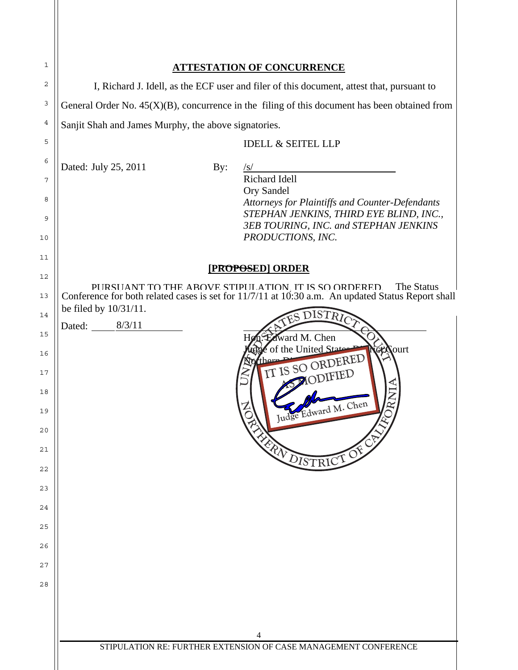| 1        | <b>ATTESTATION OF CONCURRENCE</b>                                                                                                                |  |  |  |  |  |
|----------|--------------------------------------------------------------------------------------------------------------------------------------------------|--|--|--|--|--|
| 2        | I, Richard J. Idell, as the ECF user and filer of this document, attest that, pursuant to                                                        |  |  |  |  |  |
| 3        | General Order No. $45(X)(B)$ , concurrence in the filing of this document has been obtained from                                                 |  |  |  |  |  |
| 4        | Sanjit Shah and James Murphy, the above signatories.                                                                                             |  |  |  |  |  |
| 5        | <b>IDELL &amp; SEITEL LLP</b>                                                                                                                    |  |  |  |  |  |
| 6        | Dated: July 25, 2011<br>By:<br>Richard Idell                                                                                                     |  |  |  |  |  |
| 7        | <b>Ory Sandel</b>                                                                                                                                |  |  |  |  |  |
| 8<br>9   | Attorneys for Plaintiffs and Counter-Defendants<br>STEPHAN JENKINS, THIRD EYE BLIND, INC.,<br>3EB TOURING, INC. and STEPHAN JENKINS              |  |  |  |  |  |
| 10       | PRODUCTIONS, INC.                                                                                                                                |  |  |  |  |  |
| 11       | <b>PROPOSED] ORDER</b>                                                                                                                           |  |  |  |  |  |
| 12       | PURSUANT TO THE ABOVE STIPULATION. IT IS SO ORDERED.<br>The Status                                                                               |  |  |  |  |  |
| 13<br>14 | Conference for both related cases is set for 11/7/11 at 10:30 a.m. An updated Status Report shall<br>be filed by 10/31/11.<br>DISTR <sub>j</sub> |  |  |  |  |  |
| 15       | Dated: 8/3/11<br>Edward M. Chen                                                                                                                  |  |  |  |  |  |
| 16       | of the United State Program<br>'therr                                                                                                            |  |  |  |  |  |
| 17       | <b>IT IS SO ORDERED</b><br>MODIFIED                                                                                                              |  |  |  |  |  |
| 18       |                                                                                                                                                  |  |  |  |  |  |
| 19<br>20 | Judge Edward M. Chen                                                                                                                             |  |  |  |  |  |
| 21       | <b>EXPLOISTRICI OF</b>                                                                                                                           |  |  |  |  |  |
| 22       |                                                                                                                                                  |  |  |  |  |  |
| 23       |                                                                                                                                                  |  |  |  |  |  |
| 24       |                                                                                                                                                  |  |  |  |  |  |
| 25       |                                                                                                                                                  |  |  |  |  |  |
| 26       |                                                                                                                                                  |  |  |  |  |  |
| 27       |                                                                                                                                                  |  |  |  |  |  |
| 28       |                                                                                                                                                  |  |  |  |  |  |
|          |                                                                                                                                                  |  |  |  |  |  |
|          | 4                                                                                                                                                |  |  |  |  |  |
|          | STIPULATION RE: FURTHER EXTENSION OF CASE MANAGEMENT CONFERENCE                                                                                  |  |  |  |  |  |
|          |                                                                                                                                                  |  |  |  |  |  |